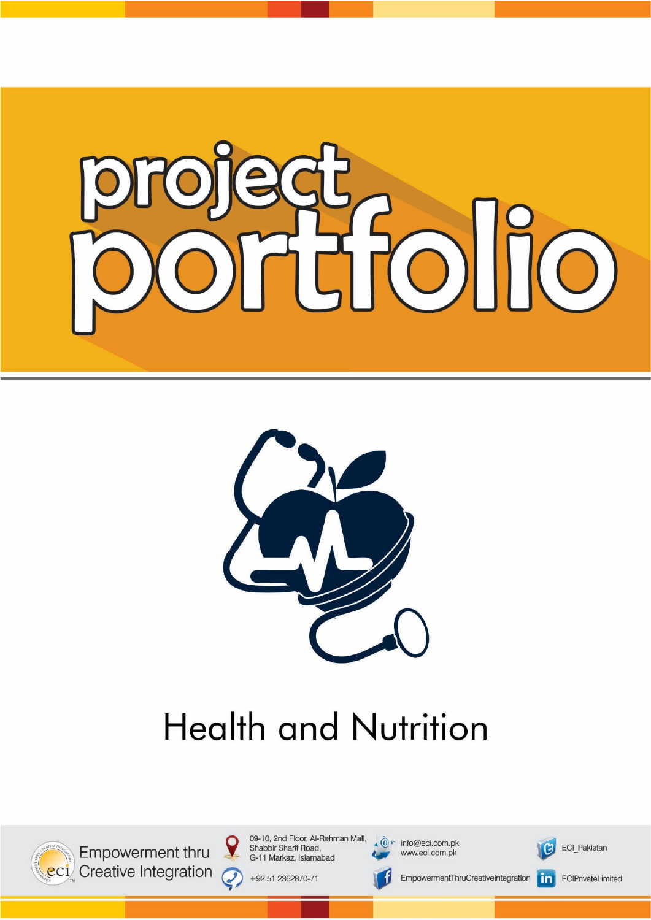



# **Health and Nutrition**



Empowerment thru eci Creative Integration 09-10, 2nd Floor, Al-Rehman Mall, Shabbir Sharif Road, G-11 Markaz, Islamabad

+92 51 2362870-71

 $\boldsymbol{\mathsf{Q}}$ 

 $\mathcal{O}$ 

 $\widehat{\mathbb{Q}}$  info@eci.com.pk www.eci.com.pk



ECI\_Pakistan



EmpowermentThruCreativeIntegration

 $\vert$  in  $\vert$ ECIPrivateLimited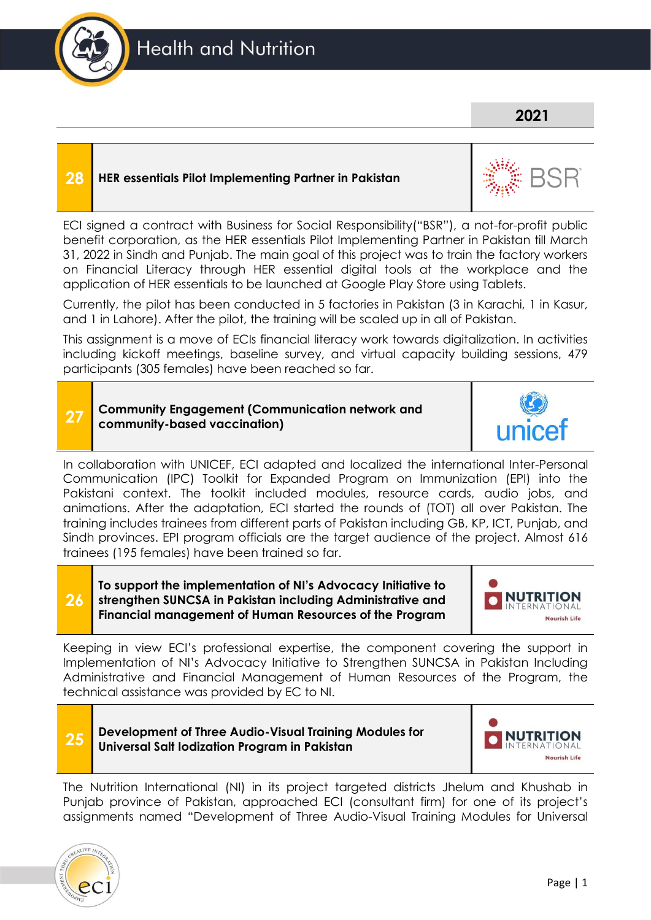

### **2021**

#### **28 HER essentials Pilot Implementing Partner in Pakistan**



ECI signed a contract with Business for Social Responsibility("BSR"), a not-for-profit public benefit corporation, as the HER essentials Pilot Implementing Partner in Pakistan till March 31, 2022 in Sindh and Punjab. The main goal of this project was to train the factory workers on Financial Literacy through HER essential digital tools at the workplace and the application of HER essentials to be launched at Google Play Store using Tablets.

Currently, the pilot has been conducted in 5 factories in Pakistan (3 in Karachi, 1 in Kasur, and 1 in Lahore). After the pilot, the training will be scaled up in all of Pakistan.

This assignment is a move of ECIs financial literacy work towards digitalization. In activities including kickoff meetings, baseline survey, and virtual capacity building sessions, 479 participants (305 females) have been reached so far.

#### **27 Community Engagement (Communication network and community-based vaccination)**

In collaboration with UNICEF, ECI adapted and localized the international Inter-Personal Communication (IPC) Toolkit for Expanded Program on Immunization (EPI) into the Pakistani context. The toolkit included modules, resource cards, audio jobs, and animations. After the adaptation, ECI started the rounds of (TOT) all over Pakistan. The training includes trainees from different parts of Pakistan including GB, KP, ICT, Punjab, and Sindh provinces. EPI program officials are the target audience of the project. Almost 616 trainees (195 females) have been trained so far.

**To support the implementation of NI's Advocacy Initiative to strengthen SUNCSA in Pakistan including Administrative and Financial management of Human Resources of the Program**



Keeping in view ECI's professional expertise, the component covering the support in Implementation of NI's Advocacy Initiative to Strengthen SUNCSA in Pakistan Including Administrative and Financial Management of Human Resources of the Program, the technical assistance was provided by EC to NI.



**26**

**25 Development of Three Audio-Visual Training Modules for Universal Salt Iodization Program in Pakistan**



The Nutrition International (NI) in its project targeted districts Jhelum and Khushab in Punjab province of Pakistan, approached ECI (consultant firm) for one of its project's assignments named "Development of Three Audio-Visual Training Modules for Universal

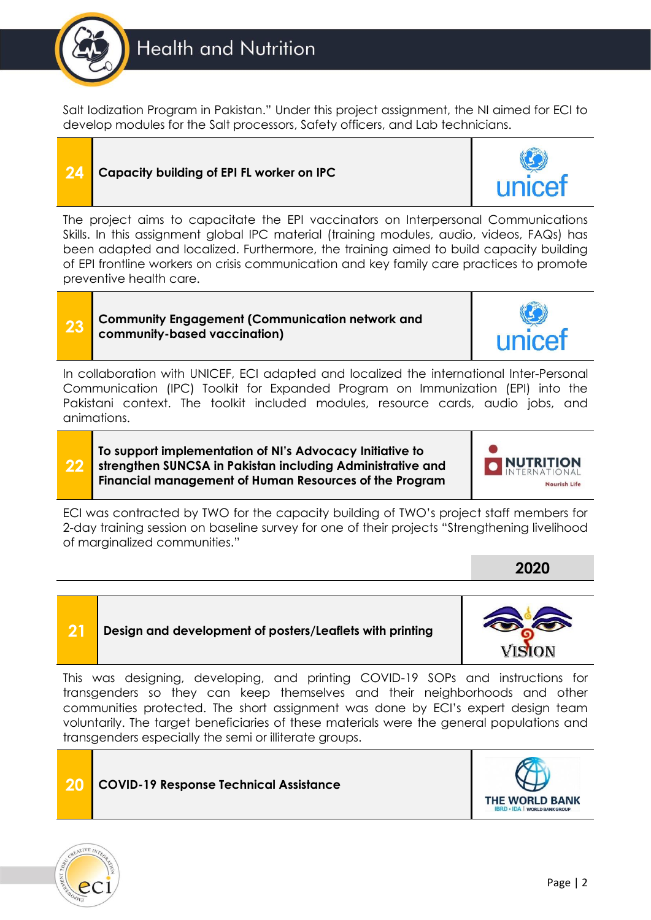

Salt Iodization Program in Pakistan." Under this project assignment, the NI aimed for ECI to develop modules for the Salt processors, Safety officers, and Lab technicians.

### **24 Capacity building of EPI FL worker on IPC**



The project aims to capacitate the EPI vaccinators on Interpersonal Communications Skills. In this assignment global IPC material (training modules, audio, videos, FAQs) has been adapted and localized. Furthermore, the training aimed to build capacity building of EPI frontline workers on crisis communication and key family care practices to promote preventive health care.

#### **23 Community Engagement (Communication network and community-based vaccination)**

In collaboration with UNICEF, ECI adapted and localized the international Inter-Personal Communication (IPC) Toolkit for Expanded Program on Immunization (EPI) into the Pakistani context. The toolkit included modules, resource cards, audio jobs, and animations.

**22 To support implementation of NI's Advocacy Initiative to strengthen SUNCSA in Pakistan including Administrative and Financial management of Human Resources of the Program**

**21 Design and development of posters/Leaflets with printing**



ECI was contracted by TWO for the capacity building of TWO's project staff members for 2-day training session on baseline survey for one of their projects "Strengthening livelihood of marginalized communities."

**2020**



This was designing, developing, and printing COVID-19 SOPs and instructions for transgenders so they can keep themselves and their neighborhoods and other communities protected. The short assignment was done by ECI's expert design team voluntarily. The target beneficiaries of these materials were the general populations and transgenders especially the semi or illiterate groups.





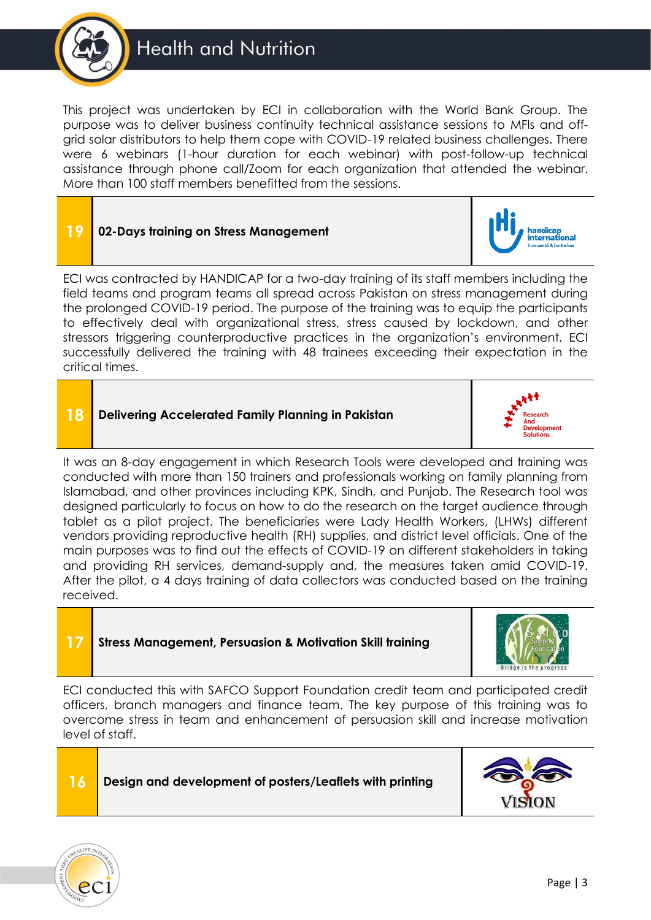

This project was undertaken by ECI in collaboration with the World Bank Group. The purpose was to deliver business continuity technical assistance sessions to MFIs and offgrid solar distributors to help them cope with COVID-19 related business challenges. There were 6 webinars (1-hour duration for each webinar) with post-follow-up technical assistance through phone call/Zoom for each organization that attended the webinar. More than 100 staff members benefitted from the sessions.

| $\overline{19}$                                                                          | 02-Days training on Stress Management | <b>All property de la participate de la partie de la partie de la partie de la partie de la partie de la partie de la partie de la partie de la partie de la partie de la partie de la partie de la partie de la partie de la pa</b> |
|------------------------------------------------------------------------------------------|---------------------------------------|--------------------------------------------------------------------------------------------------------------------------------------------------------------------------------------------------------------------------------------|
| ECI was contracted by HANDICAP for a two-day training of its staff members including the |                                       |                                                                                                                                                                                                                                      |

ECI was contracted by HANDICAP for a two-day training of its staff members including the field teams and program teams all spread across Pakistan on stress management during the prolonged COVID-19 period. The purpose of the training was to equip the participants to effectively deal with organizational stress, stress caused by lockdown, and other stressors triggering counterproductive practices in the organization's environment. ECI successfully delivered the training with 48 trainees exceeding their expectation in the critical times.

#### **18 Delivering Accelerated Family Planning in Pakistan**







ECI conducted this with SAFCO Support Foundation credit team and participated credit officers, branch managers and finance team. The key purpose of this training was to overcome stress in team and enhancement of persuasion skill and increase motivation level of staff.

#### **16 Design and development of posters/Leaflets with printing**





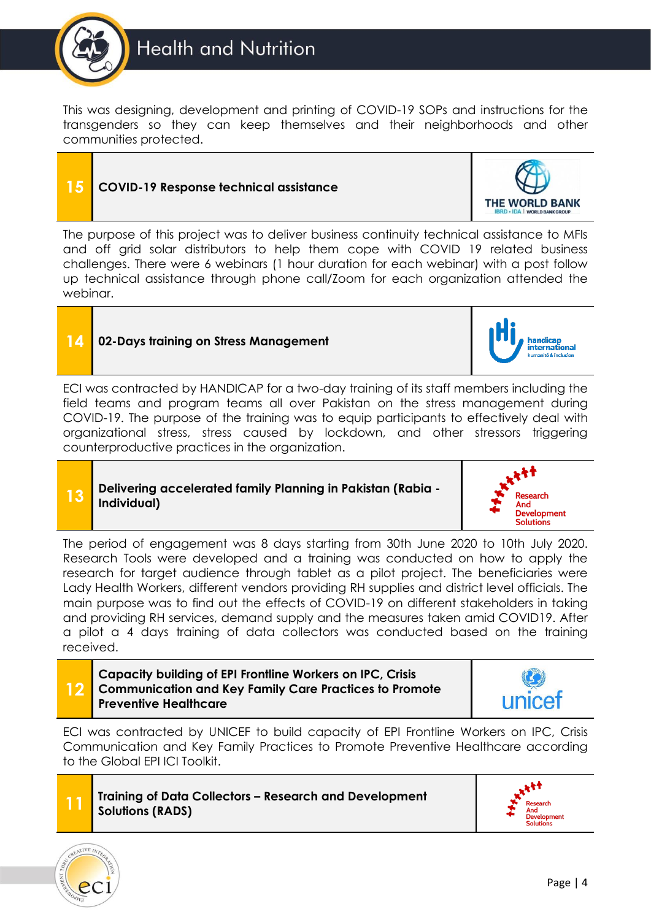

This was designing, development and printing of COVID-19 SOPs and instructions for the transgenders so they can keep themselves and their neighborhoods and other communities protected.

### **15 COVID-19 Response technical assistance**

**THE WORLD BANK** 

The purpose of this project was to deliver business continuity technical assistance to MFIs and off grid solar distributors to help them cope with COVID 19 related business challenges. There were 6 webinars (1 hour duration for each webinar) with a post follow up technical assistance through phone call/Zoom for each organization attended the webinar.



#### **14 02-Days training on Stress Management**

ECI was contracted by HANDICAP for a two-day training of its staff members including the field teams and program teams all over Pakistan on the stress management during COVID-19. The purpose of the training was to equip participants to effectively deal with organizational stress, stress caused by lockdown, and other stressors triggering counterproductive practices in the organization.

#### **13 Delivering accelerated family Planning in Pakistan (Rabia - Individual)**



handicap<br>international

The period of engagement was 8 days starting from 30th June 2020 to 10th July 2020. Research Tools were developed and a training was conducted on how to apply the research for target audience through tablet as a pilot project. The beneficiaries were Lady Health Workers, different vendors providing RH supplies and district level officials. The main purpose was to find out the effects of COVID-19 on different stakeholders in taking and providing RH services, demand supply and the measures taken amid COVID19. After a pilot a 4 days training of data collectors was conducted based on the training received.



#### **Capacity building of EPI Frontline Workers on IPC, Crisis Communication and Key Family Care Practices to Promote Preventive Healthcare**







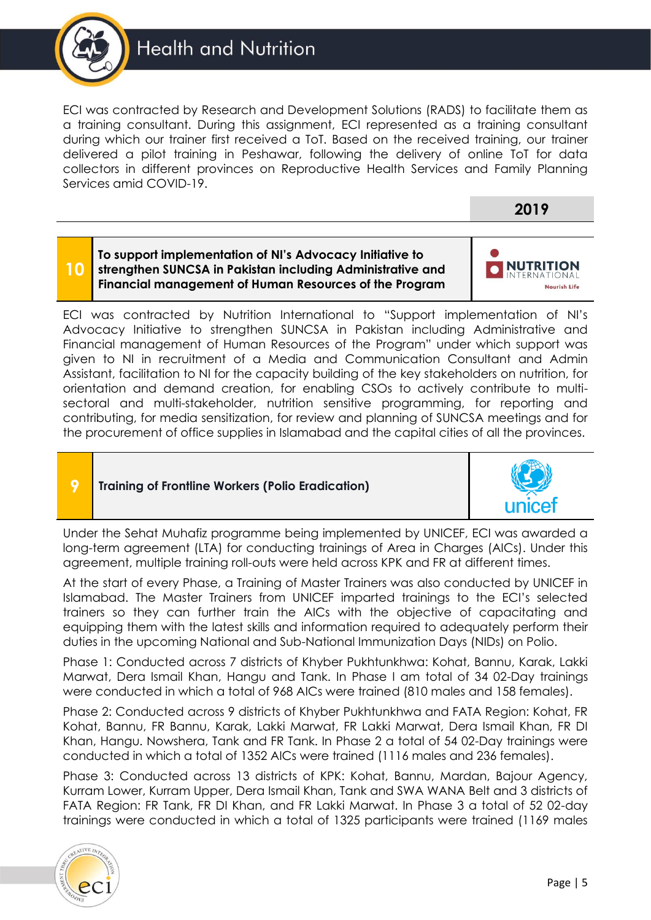

ECI was contracted by Research and Development Solutions (RADS) to facilitate them as a training consultant. During this assignment, ECI represented as a training consultant during which our trainer first received a ToT. Based on the received training, our trainer delivered a pilot training in Peshawar, following the delivery of online ToT for data collectors in different provinces on Reproductive Health Services and Family Planning Services amid COVID-19.



**NUTRITION** 

Nourish Life

**To support implementation of NI's Advocacy Initiative to strengthen SUNCSA in Pakistan including Administrative and Financial management of Human Resources of the Program**

ECI was contracted by Nutrition International to "Support implementation of NI's Advocacy Initiative to strengthen SUNCSA in Pakistan including Administrative and Financial management of Human Resources of the Program" under which support was given to NI in recruitment of a Media and Communication Consultant and Admin Assistant, facilitation to NI for the capacity building of the key stakeholders on nutrition, for orientation and demand creation, for enabling CSOs to actively contribute to multisectoral and multi-stakeholder, nutrition sensitive programming, for reporting and contributing, for media sensitization, for review and planning of SUNCSA meetings and for the procurement of office supplies in Islamabad and the capital cities of all the provinces.

**10**

**9 Training of Frontline Workers (Polio Eradication)**



Under the Sehat Muhafiz programme being implemented by UNICEF, ECI was awarded a long-term agreement (LTA) for conducting trainings of Area in Charges (AICs). Under this agreement, multiple training roll-outs were held across KPK and FR at different times.

At the start of every Phase, a Training of Master Trainers was also conducted by UNICEF in Islamabad. The Master Trainers from UNICEF imparted trainings to the ECI's selected trainers so they can further train the AICs with the objective of capacitating and equipping them with the latest skills and information required to adequately perform their duties in the upcoming National and Sub-National Immunization Days (NIDs) on Polio.

Phase 1: Conducted across 7 districts of Khyber Pukhtunkhwa: Kohat, Bannu, Karak, Lakki Marwat, Dera Ismail Khan, Hangu and Tank. In Phase I am total of 34 02-Day trainings were conducted in which a total of 968 AICs were trained (810 males and 158 females).

Phase 2: Conducted across 9 districts of Khyber Pukhtunkhwa and FATA Region: Kohat, FR Kohat, Bannu, FR Bannu, Karak, Lakki Marwat, FR Lakki Marwat, Dera Ismail Khan, FR DI Khan, Hangu. Nowshera, Tank and FR Tank. In Phase 2 a total of 54 02-Day trainings were conducted in which a total of 1352 AICs were trained (1116 males and 236 females).

Phase 3: Conducted across 13 districts of KPK: Kohat, Bannu, Mardan, Bajour Agency, Kurram Lower, Kurram Upper, Dera Ismail Khan, Tank and SWA WANA Belt and 3 districts of FATA Region: FR Tank, FR DI Khan, and FR Lakki Marwat. In Phase 3 a total of 52 02-day trainings were conducted in which a total of 1325 participants were trained (1169 males

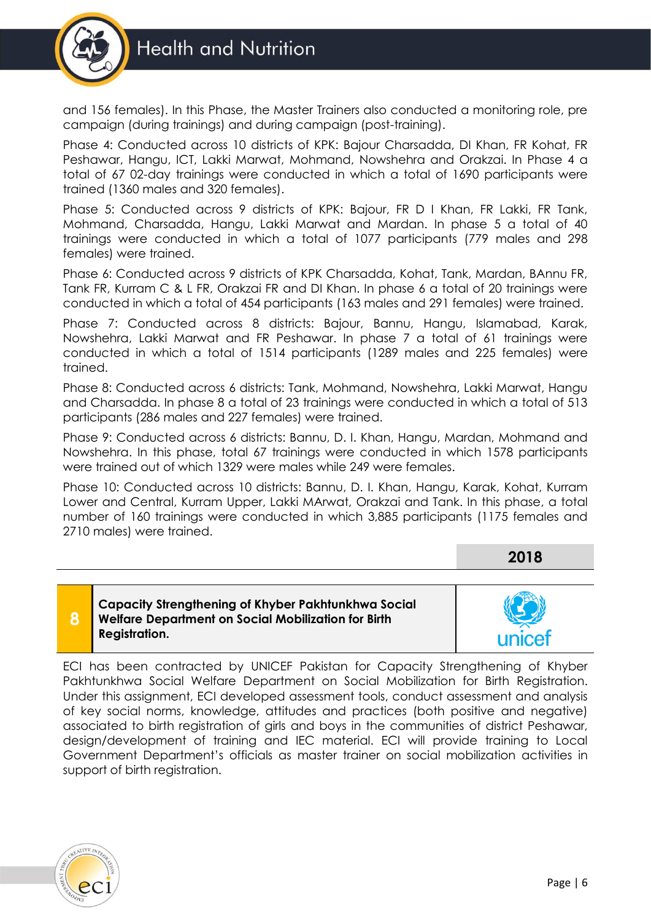

and 156 females). In this Phase, the Master Trainers also conducted a monitoring role, pre campaign (during trainings) and during campaign (post-training).

Phase 4: Conducted across 10 districts of KPK: Bajour Charsadda, DI Khan, FR Kohat, FR Peshawar, Hangu, ICT, Lakki Marwat, Mohmand, Nowshehra and Orakzai. In Phase 4 a total of 67 02-day trainings were conducted in which a total of 1690 participants were trained (1360 males and 320 females).

Phase 5: Conducted across 9 districts of KPK: Bajour, FR D I Khan, FR Lakki, FR Tank, Mohmand, Charsadda, Hangu, Lakki Marwat and Mardan. In phase 5 a total of 40 trainings were conducted in which a total of 1077 participants (779 males and 298 females) were trained.

Phase 6: Conducted across 9 districts of KPK Charsadda, Kohat, Tank, Mardan, BAnnu FR, Tank FR, Kurram C & L FR, Orakzai FR and DI Khan. In phase 6 a total of 20 trainings were conducted in which a total of 454 participants (163 males and 291 females) were trained.

Phase 7: Conducted across 8 districts: Bajour, Bannu, Hangu, Islamabad, Karak, Nowshehra, Lakki Marwat and FR Peshawar. In phase 7 a total of 61 trainings were conducted in which a total of 1514 participants (1289 males and 225 females) were trained.

Phase 8: Conducted across 6 districts: Tank, Mohmand, Nowshehra, Lakki Marwat, Hangu and Charsadda. In phase 8 a total of 23 trainings were conducted in which a total of 513 participants (286 males and 227 females) were trained.

Phase 9: Conducted across 6 districts: Bannu, D. I. Khan, Hangu, Mardan, Mohmand and Nowshehra. In this phase, total 67 trainings were conducted in which 1578 participants were trained out of which 1329 were males while 249 were females.

Phase 10: Conducted across 10 districts: Bannu, D. I. Khan, Hangu, Karak, Kohat, Kurram Lower and Central, Kurram Upper, Lakki MArwat, Orakzai and Tank. In this phase, a total number of 160 trainings were conducted in which 3,885 participants (1175 females and 2710 males) were trained.

**2018**

**8**

**Capacity Strengthening of Khyber Pakhtunkhwa Social Welfare Department on Social Mobilization for Birth Registration.**



ECI has been contracted by UNICEF Pakistan for Capacity Strengthening of Khyber Pakhtunkhwa Social Welfare Department on Social Mobilization for Birth Registration. Under this assignment, ECI developed assessment tools, conduct assessment and analysis of key social norms, knowledge, attitudes and practices (both positive and negative) associated to birth registration of girls and boys in the communities of district Peshawar, design/development of training and IEC material. ECI will provide training to Local Government Department's officials as master trainer on social mobilization activities in support of birth registration.

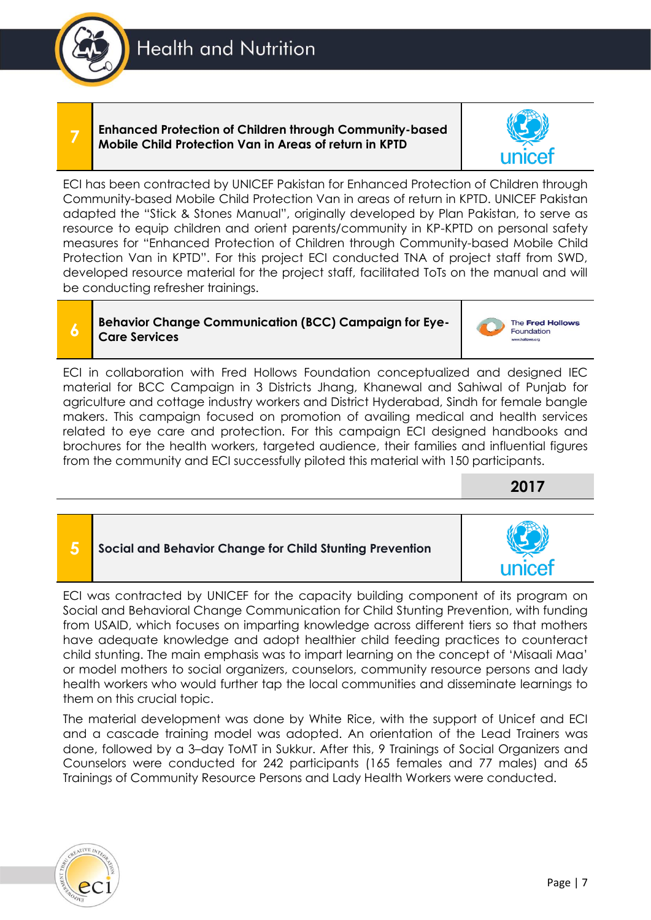## **Health and Nutrition**

**Enhanced Protection of Children through Community-based Mobile Child Protection Van in Areas of return in KPTD**

ECI has been contracted by UNICEF Pakistan for Enhanced Protection of Children through Community-based Mobile Child Protection Van in areas of return in KPTD. UNICEF Pakistan adapted the "Stick & Stones Manual", originally developed by Plan Pakistan, to serve as resource to equip children and orient parents/community in KP-KPTD on personal safety measures for "Enhanced Protection of Children through Community-based Mobile Child Protection Van in KPTD". For this project ECI conducted TNA of project staff from SWD, developed resource material for the project staff, facilitated ToTs on the manual and will be conducting refresher trainings.

### **Behavior Change Communication (BCC) Campaign for Eye-Care Services**

ECI in collaboration with Fred Hollows Foundation conceptualized and designed IEC material for BCC Campaign in 3 Districts Jhang, Khanewal and Sahiwal of Punjab for agriculture and cottage industry workers and District Hyderabad, Sindh for female bangle makers. This campaign focused on promotion of availing medical and health services related to eye care and protection. For this campaign ECI designed handbooks and brochures for the health workers, targeted audience, their families and influential figures from the community and ECI successfully piloted this material with 150 participants.

**2017**

The Fred Hollows Foundation



ECI was contracted by UNICEF for the capacity building component of its program on Social and Behavioral Change Communication for Child Stunting Prevention, with funding from USAID, which focuses on imparting knowledge across different tiers so that mothers have adequate knowledge and adopt healthier child feeding practices to counteract child stunting. The main emphasis was to impart learning on the concept of 'Misaali Maa' or model mothers to social organizers, counselors, community resource persons and lady health workers who would further tap the local communities and disseminate learnings to them on this crucial topic.

The material development was done by White Rice, with the support of Unicef and ECI and a cascade training model was adopted. An orientation of the Lead Trainers was done, followed by a 3–day ToMT in Sukkur. After this, 9 Trainings of Social Organizers and Counselors were conducted for 242 participants (165 females and 77 males) and 65 Trainings of Community Resource Persons and Lady Health Workers were conducted.







**7**



**6**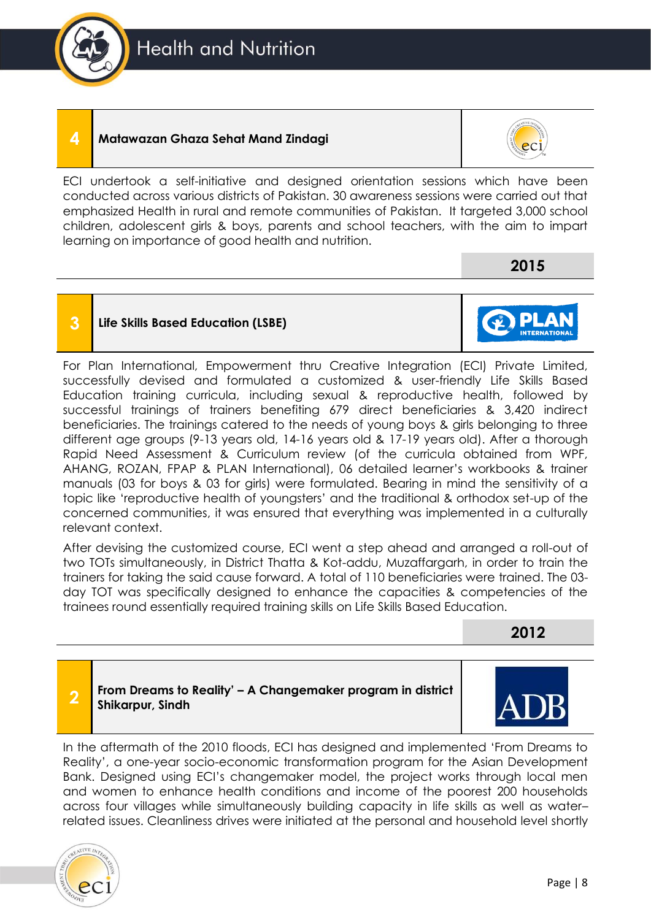### **4 Matawazan Ghaza Sehat Mand Zindagi**



ECI undertook a self-initiative and designed orientation sessions which have been conducted across various districts of Pakistan. 30 awareness sessions were carried out that emphasized Health in rural and remote communities of Pakistan. It targeted 3,000 school children, adolescent girls & boys, parents and school teachers, with the aim to impart learning on importance of good health and nutrition.

**2015**

### **3 Life Skills Based Education (LSBE)**



After devising the customized course, ECI went a step ahead and arranged a roll-out of two TOTs simultaneously, in District Thatta & Kot-addu, Muzaffargarh, in order to train the trainers for taking the said cause forward. A total of 110 beneficiaries were trained. The 03 day TOT was specifically designed to enhance the capacities & competencies of the trainees round essentially required training skills on Life Skills Based Education.

**2012**

#### **2 From Dreams to Reality' – A Changemaker program in district Shikarpur, Sindh**

In the aftermath of the 2010 floods, ECI has designed and implemented 'From Dreams to Reality', a one-year socio-economic transformation program for the Asian Development Bank. Designed using ECI's changemaker model, the project works through local men and women to enhance health conditions and income of the poorest 200 households across four villages while simultaneously building capacity in life skills as well as water– related issues. Cleanliness drives were initiated at the personal and household level shortly